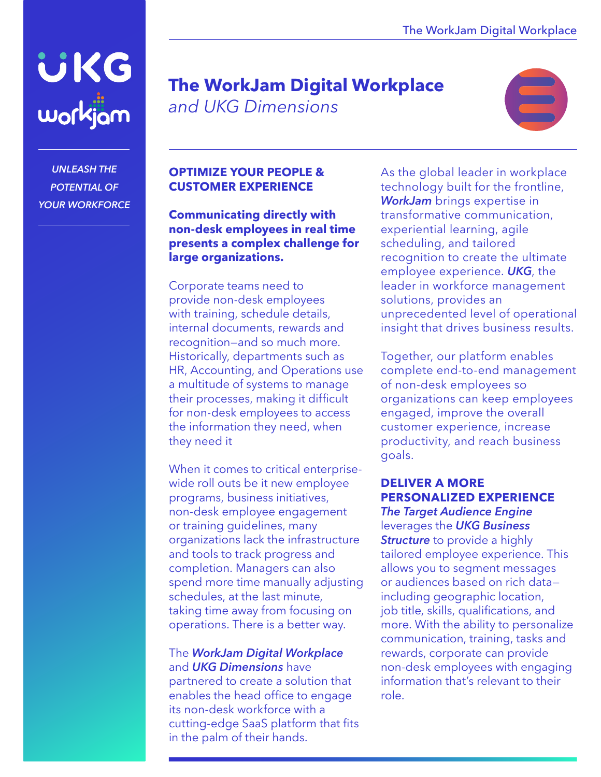

*UNLEASH THE POTENTIAL OF YOUR WORKFORCE*

## **The WorkJam Digital Workplace**  *and UKG Dimensions*



#### **OPTIMIZE YOUR PEOPLE & CUSTOMER EXPERIENCE**

**Communicating directly with non-desk employees in real time presents a complex challenge for large organizations.**

Corporate teams need to provide non-desk employees with training, schedule details, internal documents, rewards and recognition—and so much more. Historically, departments such as HR, Accounting, and Operations use a multitude of systems to manage their processes, making it difficult for non-desk employees to access the information they need, when they need it

When it comes to critical enterprisewide roll outs be it new employee programs, business initiatives, non-desk employee engagement or training guidelines, many organizations lack the infrastructure and tools to track progress and completion. Managers can also spend more time manually adjusting schedules, at the last minute, taking time away from focusing on operations. There is a better way.

#### The *WorkJam Digital Workplace* and *UKG Dimensions* have

partnered to create a solution that enables the head office to engage its non-desk workforce with a cutting-edge SaaS platform that fits in the palm of their hands.

As the global leader in workplace technology built for the frontline, *WorkJam* brings expertise in transformative communication, experiential learning, agile scheduling, and tailored recognition to create the ultimate employee experience. *UKG*, the leader in workforce management solutions, provides an unprecedented level of operational insight that drives business results.

Together, our platform enables complete end-to-end management of non-desk employees so organizations can keep employees engaged, improve the overall customer experience, increase productivity, and reach business goals.

### **DELIVER A MORE PERSONALIZED EXPERIENCE**

*The Target Audience Engine* leverages the *UKG Business Structure* to provide a highly tailored employee experience. This allows you to segment messages or audiences based on rich data including geographic location, job title, skills, qualifications, and more. With the ability to personalize communication, training, tasks and rewards, corporate can provide non-desk employees with engaging information that's relevant to their role.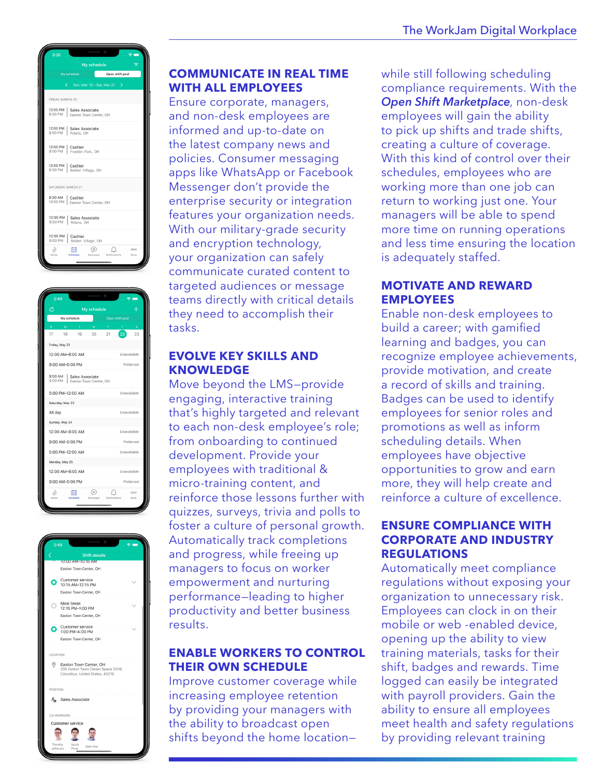





#### **COMMUNICATE IN REAL TIME WITH ALL EMPLOYEES**

Ensure corporate, managers, and non-desk employees are informed and up-to-date on the latest company news and policies. Consumer messaging apps like WhatsApp or Facebook Messenger don't provide the enterprise security or integration features your organization needs. With our military-grade security and encryption technology, your organization can safely communicate curated content to targeted audiences or message teams directly with critical details they need to accomplish their tasks.

#### **EVOLVE KEY SKILLS AND KNOWLEDGE**

Move beyond the LMS—provide engaging, interactive training that's highly targeted and relevant to each non-desk employee's role; from onboarding to continued development. Provide your employees with traditional & micro-training content, and reinforce those lessons further with quizzes, surveys, trivia and polls to foster a culture of personal growth. Automatically track completions and progress, while freeing up managers to focus on worker empowerment and nurturing performance—leading to higher productivity and better business results.

#### **ENABLE WORKERS TO CONTROL THEIR OWN SCHEDULE**

Improve customer coverage while increasing employee retention by providing your managers with the ability to broadcast open shifts beyond the home locationwhile still following scheduling compliance requirements. With the *Open Shift Marketplace*, non-desk employees will gain the ability to pick up shifts and trade shifts, creating a culture of coverage. With this kind of control over their schedules, employees who are working more than one job can return to working just one. Your managers will be able to spend more time on running operations and less time ensuring the location is adequately staffed.

#### **MOTIVATE AND REWARD EMPLOYEES**

Enable non-desk employees to build a career; with gamified learning and badges, you can recognize employee achievements, provide motivation, and create a record of skills and training. Badges can be used to identify employees for senior roles and promotions as well as inform scheduling details. When employees have objective opportunities to grow and earn more, they will help create and reinforce a culture of excellence.

#### **ENSURE COMPLIANCE WITH CORPORATE AND INDUSTRY REGULATIONS**

**Request a Demo** Automatically meet compliance regulations without exposing your organization to unnecessary risk. Employees can clock in on their mobile or web -enabled device, opening up the ability to view training materials, tasks for their shift, badges and rewards. Time logged can easily be integrated with payroll providers. Gain the ability to ensure all employees meet health and safety regulations by providing relevant training